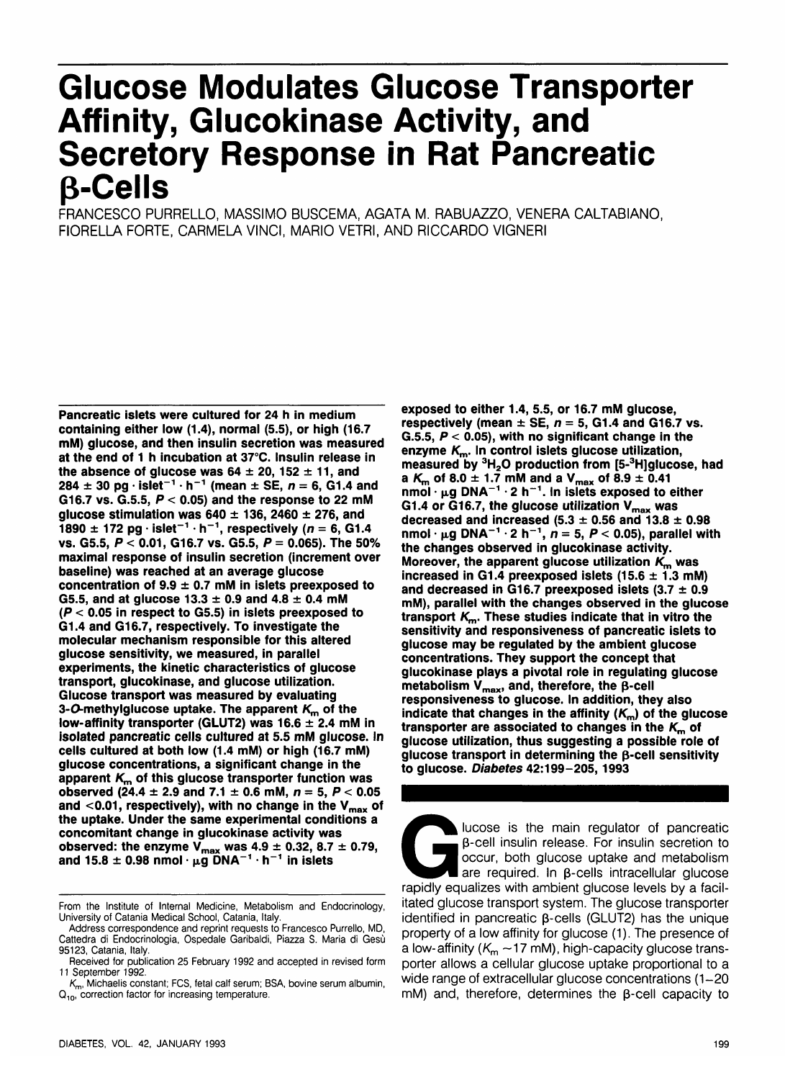# **Glucose Modulates Glucose Transporter Affinity, Glucokinase Activity, and Secretory Response in Rat Pancreatic p-Cells**

FRANCESCO PURRELLO, MASSIMO BUSCEMA, AGATA M. RABUAZZO, VENERA CALTABIANO, FIORELLA FORTE, CARMELA VINCI, MARIO VETRI, AND RICCARDO VIGNERI

**Pancreatic islets were cultured for 24 h in medium containing either low (1.4), normal (5.5), or high (16.7 mM) glucose, and then insulin secretion was measured at the end of 1 h incubation at 37°C. Insulin release in** the absence of glucose was  $64 \pm 20$ ,  $152 \pm 11$ , and  $284 \pm 30$  pg  $\cdot$  islet<sup>-1</sup>  $\cdot$  h<sup>-1</sup> (mean  $\pm$  SE,  $n = 6$ , G1.4 and **G16.7 vs. G.5.5, P < 0.05) and the response to 22 mM glucose stimulation was 640 ± 136, 2460 ± 276, and 1890 ± 172 pg • islet"<sup>1</sup> • h"<sup>1</sup> , respectively (n = 6, G1.4 vs. G5.5, P < 0.01, G16.7 vs. G5.5, P = 0.065). The 50% maximal response of insulin secretion (increment over baseline) was reached at an average glucose concentration of 9.9 ± 0.7 mM in islets preexposed to** G5.5, and at glucose  $13.3 \pm 0.9$  and  $4.8 \pm 0.4$  mM **(P < 0.05 in respect to G5.5) in islets preexposed to G1.4 and G16.7, respectively. To investigate the molecular mechanism responsible for this altered glucose sensitivity, we measured, in parallel experiments, the kinetic characteristics of glucose transport, glucokinase, and glucose utilization. Glucose transport was measured by evaluating 3-O-methylglucose uptake. The apparent K<sub>m</sub> of the low-affinity transporter (GLUT2) was 16.6 ± 2.4 mM in isolated pancreatic cells cultured at 5.5 mM glucose. In cells cultured at both low (1.4 mM) or high (16.7 mM) glucose concentrations, a significant change in the apparent K^ of this glucose transporter function was observed** (24.4  $\pm$  2.9 and 7.1  $\pm$  0.6 mM,  $n = 5$ ,  $P < 0.05$ and <0.01, respectively), with no change in the V<sub>max</sub> of **the uptake. Under the same experimental conditions a concomitant change in glucokinase activity was observed: the enzyme Vmax was 4.9 ± 0.32, 8.7 ± 0.79, and 15.8 ± 0.98 nmol • |xg DNA~<sup>1</sup> • h~<sup>1</sup> in islets**

**exposed to either 1.4, 5.5, or 16.7 mM glucose,** respectively (mean  $\pm$  SE,  $n = 5$ , G1.4 and G16.7 vs. **G.5.5, P < 0.05), with no significant change in the enzyme Km. In control islets glucose utilization, measured by 3H2 0 production from [5-<sup>3</sup> H]glucose, had a**  $K_m$  of 8.0  $\pm$  1.7 mM and a  $V_{\text{max}}$  of 8.9  $\pm$  0.41 **nmol • fig DNA~<sup>1</sup> • 2 h~<sup>1</sup> . In islets exposed to either** G1.4 or G16.7, the glucose utilization V<sub>max</sub> was decreased and increased  $(5.3 \pm 0.56$  and  $13.8 \pm 0.98$  $n$ mol ·  $\mu$ g DNA<sup>-1</sup> · 2 h<sup>-1</sup>,  $n = 5, P < 0.05$ ), parallel with **the changes observed in glucokinase activity. Moreover, the apparent glucose utilization K^ was** increased in G1.4 preexposed islets  $(15.6 \pm 1.3 \text{ mM})$ **and decreased in G16.7 preexposed islets (3.7 ± 0.9 mM), parallel with the changes observed in the glucose transport Km. These studies indicate that in vitro the sensitivity and responsiveness of pancreatic islets to glucose may be regulated by the ambient glucose concentrations. They support the concept that glucokinase plays a pivotal role in regulating glucose** metabolism  $V_{\text{max}}$ , and, therefore, the  $\beta$ -cell **responsiveness to glucose. In addition, they also indicate that changes in the affinity (Km) of the glucose** transporter are associated to changes in the  $K_m$  of **glucose utilization, thus suggesting a possible role of glucose transport in determining the p-cell sensitivity to glucose. Diabetes 42:199-205,1993**

Glucose is the main regulator of pancreatic<br>
β-cell insulin release. For insulin secretion to<br>
occur, both glucose uptake and metabolism<br>
are required. In β-cells intracellular glucose<br>
rapidly equalizes with ambient gluc **p-cell insulin release. For insulin secretion to occur, both glucose uptake and metabolism are required. In p-cells intracellular glucose rapidly equalizes with ambient glucose levels by a facilitated glucose transport system. The glucose transporter identified in pancreatic p-cells (GLUT2) has the unique property of a low affinity for glucose (1). The presence of a low-affinity {Km —17 mM), high-capacity glucose transporter allows a cellular glucose uptake proportional to a wide range of extracellular glucose concentrations (1-20 mM) and, therefore, determines the p-cell capacity to**

From the Institute of Internal Medicine, Metabolism and Endocrinology, University of Catania Medical School, Catania, Italy.

Address correspondence and reprint requests to Francesco Purrello, MD, Cattedra di Endocrinologia, Ospedale Garibaldi, Piazza S. Maria di Gesù 95123, Catania, Italy.

Received for publication 25 February 1992 and accepted in revised form 11 September 1992.

 $K<sub>m</sub>$ , Michaelis constant; FCS, fetal calf serum; BSA, bovine serum albumin, Q<sub>10</sub>, correction factor for increasing temperature.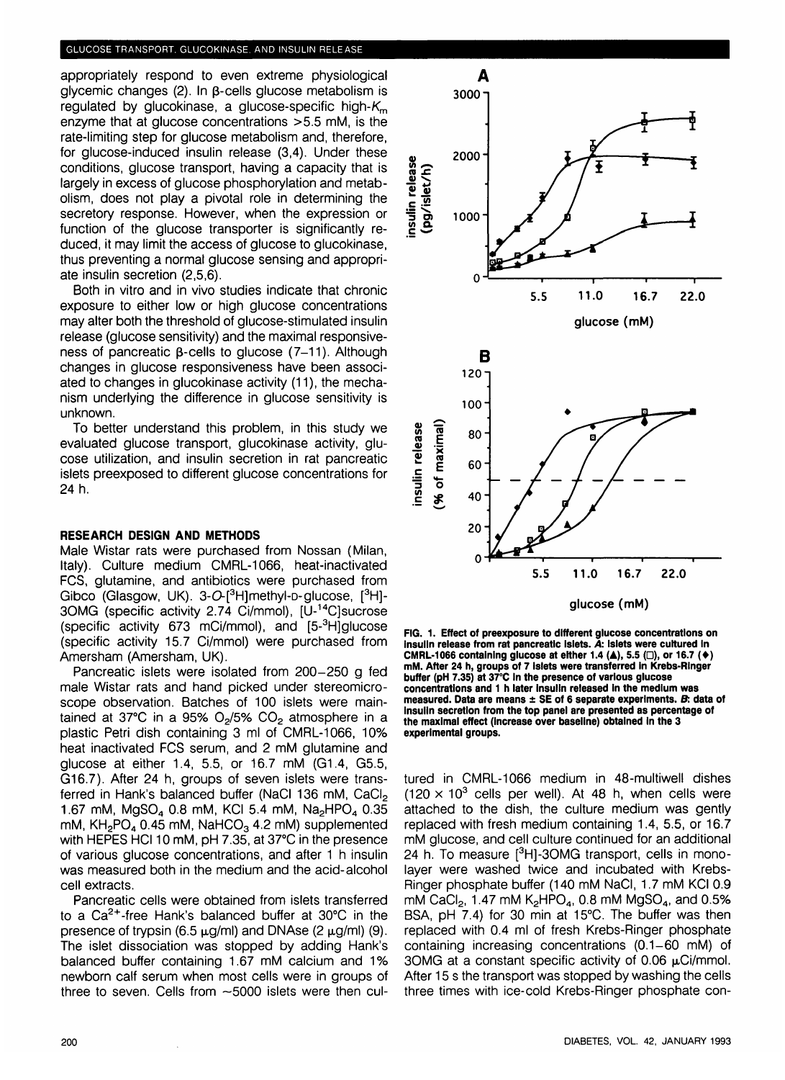#### GLUCOSE TRANSPORT. GLUCOKINASE. AND INSULIN RELEASE

appropriately respond to even extreme physiological  $q$ lycemic changes (2). In  $\beta$ -cells glucose metabolism is regulated by glucokinase, a glucose-specific high- $K<sub>m</sub>$ enzyme that at glucose concentrations >5.5 mM, is the rate-limiting step for glucose metabolism and, therefore, for glucose-induced insulin release (3,4). Under these conditions, glucose transport, having a capacity that is largely in excess of glucose phosphorylation and metabolism, does not play a pivotal role in determining the secretory response. However, when the expression or function of the glucose transporter is significantly reduced, it may limit the access of glucose to glucokinase, thus preventing a normal glucose sensing and appropriate insulin secretion (2,5,6).

Both in vitro and in vivo studies indicate that chronic exposure to either low or high glucose concentrations may alter both the threshold of glucose-stimulated insulin release (glucose sensitivity) and the maximal responsiveness of pancreatic  $\beta$ -cells to glucose (7-11). Although changes in glucose responsiveness have been associated to changes in glucokinase activity (11), the mechanism underlying the difference in glucose sensitivity is unknown.

To better understand this problem, in this study we evaluated glucose transport, glucokinase activity, glucose utilization, and insulin secretion in rat pancreatic islets preexposed to different glucose concentrations for 24 h.

## **RESEARCH DESIGN AND METHODS**

Male Wistar rats were purchased from Nossan (Milan, Italy). Culture medium CMRL-1066, heat-inactivated FCS, glutamine, and antibiotics were purchased from Gibco (Glasgow, UK). 3-O-[<sup>3</sup>H]methyl-p-glucose, [<sup>3</sup>H]-30MG (specific activity 2.74 Ci/mmol), [U-14C]sucrose (specific activity 673 mCi/mmol), and [5-<sup>3</sup>H]glucose (specific activity 15.7 Ci/mmol) were purchased from Amersham (Amersham, UK).

Pancreatic islets were isolated from 200-250 g fed male Wistar rats and hand picked under stereomicroscope observation. Batches of 100 islets were maintained at 37°C in a 95%  $O<sub>2</sub>/5$ %  $CO<sub>2</sub>$  atmosphere in a plastic Petri dish containing 3 ml of CMRL-1066, 10% heat inactivated FCS serum, and 2 mM glutamine and glucose at either 1.4, 5.5, or 16.7 mM (G1.4, G5.5, G16.7). After 24 h, groups of seven islets were transferred in Hank's balanced buffer (NaCl 136 mM, CaCl<sub>2</sub> 1.67 mM,  $MgSO<sub>4</sub>$  0.8 mM, KCI 5.4 mM, Na<sub>2</sub>HPO<sub>4</sub> 0.35 mM,  $KH<sub>2</sub>PO<sub>4</sub> 0.45$  mM, NaHCO<sub>3</sub> 4.2 mM) supplemented with HEPES HC110 mM, pH 7.35, at 37°C in the presence of various glucose concentrations, and after 1 h insulin was measured both in the medium and the acid-alcohol cell extracts.

Pancreatic cells were obtained from islets transferred to a  $Ca<sup>2+</sup>$ -free Hank's balanced buffer at 30 $°C$  in the presence of trypsin (6.5  $\mu$ g/ml) and DNAse (2  $\mu$ g/ml) (9). The islet dissociation was stopped by adding Hank's balanced buffer containing 1.67 mM calcium and 1% newborn calf serum when most cells were in groups of three to seven. Cells from —5000 islets were then cul-



**FIG. 1. Effect of preexposure to different glucose concentrations on Insulin release from rat pancreatic Islets. A: islets were cultured In CMRL-1066 containing glucose at either 1.4 (A), 5.5 (D), or 16.7 (•) mM. After 24 h, groups of 7 islets were transferred In Krebs-Rlnger buffer (pH 7.35) at 37°C In the presence of various glucose concentrations and 1 h later insulin released in the medium was measured. Data are means ± SE of 6 separate experiments. B: data of Insulin secretion from the top panel are presented as percentage of the maximal effect (increase over baseline) obtained in the 3 experimental groups.**

tured in CMRL-1066 medium in 48-multiwell dishes  $(120 \times 10^3$  cells per well). At 48 h, when cells were attached to the dish, the culture medium was gently replaced with fresh medium containing 1.4, 5.5, or 16.7 mM glucose, and cell culture continued for an additional 24 h. To measure [<sup>3</sup>H]-3OMG transport, cells in monolayer were washed twice and incubated with Krebs-Ringer phosphate buffer (140 mM NaCI, 1.7 mM KCI 0.9 mM CaCl<sub>2</sub>, 1.47 mM K<sub>2</sub>HPO<sub>4</sub>, 0.8 mM MgSO<sub>4</sub>, and 0.5% BSA, pH 7.4) for 30 min at 15°C. The buffer was then replaced with 0.4 ml of fresh Krebs-Ringer phosphate containing increasing concentrations (0.1-60 mM) of 3OMG at a constant specific activity of 0.06  $\mu$ Ci/mmol. After 15 s the transport was stopped by washing the cells three times with ice-cold Krebs-Ringer phosphate con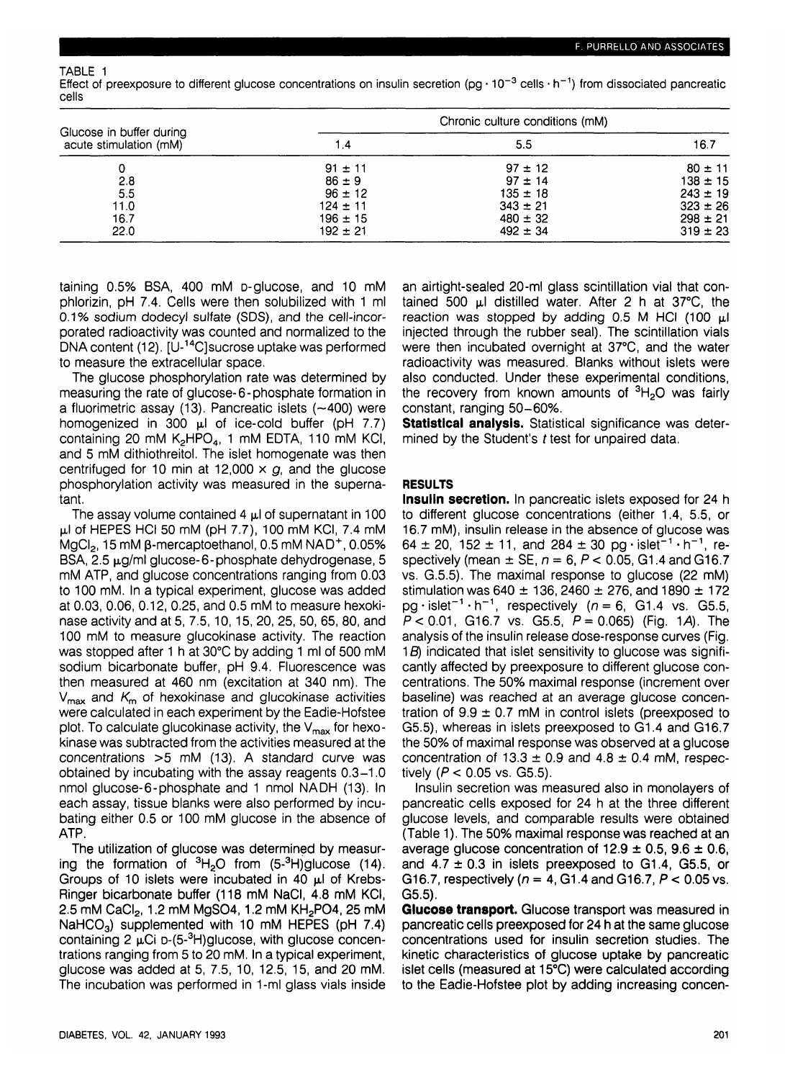TABLE 1

Effect of preexposure to different glucose concentrations on insulin secretion (pg · 10<sup>-3</sup> cells · h<sup>-1</sup>) from dissociated pancreatic cells

|                                                    | Chronic culture conditions (mM) |              |              |
|----------------------------------------------------|---------------------------------|--------------|--------------|
| Glucose in buffer during<br>acute stimulation (mM) | 1.4                             | 5.5          | 16.7         |
|                                                    | $91 \pm 11$                     | $97 \pm 12$  | $80 \pm 11$  |
| 2.8                                                | $86 \pm 9$                      | $97 \pm 14$  | $138 \pm 15$ |
| 5.5                                                | $96 \pm 12$                     | $135 \pm 18$ | $243 \pm 19$ |
| 11.0                                               | $124 \pm 11$                    | $343 \pm 21$ | $323 \pm 26$ |
| 16.7                                               | $196 + 15$                      | $480 \pm 32$ | $298 \pm 21$ |
| 22.0                                               | $192 \pm 21$                    | $492 \pm 34$ | $319 \pm 23$ |

taining 0.5% BSA, 400 mM D-glucose, and 10 mM phlorizin, pH 7.4. Cells were then solubilized with 1 ml 0.1% sodium dodecyl sulfate (SDS), and the cell-incorporated radioactivity was counted and normalized to the DNA content (12). [U-14C]sucrose uptake was performed to measure the extracellular space.

The glucose phosphorylation rate was determined by measuring the rate of glucose-6-phosphate formation in a fluorimetric assay (13). Pancreatic islets  $(-400)$  were homogenized in  $300 \mu l$  of ice-cold buffer (pH 7.7) containing 20 mM  $K_2HPO_4$ , 1 mM EDTA, 110 mM KCI, and 5 mM dithiothreitol. The islet homogenate was then centrifuged for 10 min at 12,000  $\times$  g, and the glucose phosphorylation activity was measured in the supernatant.

The assay volume contained  $4 \mu$  of supernatant in 100  $\mu$ I of HEPES HCI 50 mM (pH 7.7), 100 mM KCI, 7.4 mM  $\overline{\textsf{MgCl}}_2$ , 15 mM β-mercaptoethanol, 0.5 mM NAD<sup>+</sup>, 0.05% BSA,  $2.5 \mu$ g/ml glucose-6-phosphate dehydrogenase, 5 mM ATP, and glucose concentrations ranging from 0.03 to 100 mM. In a typical experiment, glucose was added at 0.03, 0.06, 0.12, 0.25, and 0.5 mM to measure hexokinase activity and at 5, 7.5,10,15, 20, 25, 50, 65, 80, and 100 mM to measure glucokinase activity. The reaction was stopped after 1 h at 30°C by adding 1 ml of 500 mM sodium bicarbonate buffer, pH 9.4. Fluorescence was then measured at 460 nm (excitation at 340 nm). The  $V_{\text{max}}$  and  $K_{\text{m}}$  of hexokinase and glucokinase activities were calculated in each experiment by the Eadie-Hofstee plot. To calculate glucokinase activity, the  $V_{\text{max}}$  for hexokinase was subtracted from the activities measured at the concentrations >5 mM (13). A standard curve was obtained by incubating with the assay reagents 0.3-1.0 nmol glucose-6-phosphate and 1 nmol NADH (13). In each assay, tissue blanks were also performed by incubating either 0.5 or 100 mM glucose in the absence of ATP.

The utilization of glucose was determined by measuring the formation of  ${}^{3}H_{2}O$  from (5- ${}^{3}H$ )glucose (14). Groups of 10 islets were incubated in 40  $\mu$ l of Krebs-Ringer bicarbonate buffer (118 mM NaCI, 4.8 mM KCI, 2.5 mM CaCl<sub>2</sub>, 1.2 mM MgSO4, 1.2 mM KH<sub>2</sub>PO4, 25 mM  $NaHCO<sub>3</sub>$ ) supplemented with 10 mM HEPES (pH 7.4)  $\frac{1}{2}$  containing 2  $\mu$ Ci D-(5-<sup>3</sup>H)glucose, with glucose concentrations ranging from 5 to 20 mM. In a typical experiment, glucose was added at 5, 7.5, 10, 12.5, 15, and 20 mM. The incubation was performed in 1-ml glass vials inside an airtight-sealed 20-ml glass scintillation vial that contained 500  $\mu$ I distilled water. After 2 h at 37 $^{\circ}$ C, the reaction was stopped by adding  $0.5$  M HCI (100  $\mu$ I injected through the rubber seal). The scintillation vials were then incubated overnight at 37°C, and the water radioactivity was measured. Blanks without islets were also conducted. Under these experimental conditions, the recovery from known amounts of <sup>3</sup>H<sub>2</sub>O was fairly constant, ranging 50-60%.

**Statistical analysis.** Statistical significance was determined by the Student's *t* test for unpaired data.

# **RESULTS**

**Insulin secretion.** In pancreatic islets exposed for 24 h to different glucose concentrations (either 1.4, 5.5, or 16.7 mM), insulin release in the absence of glucose was 64 ± 20, 152 ± 11, and 284 ± 30 pg · islet<sup>-1</sup> · h<sup>-1</sup>, respectively (mean  $\pm$  SE,  $n = 6$ ,  $P < 0.05$ , G1.4 and G16.7 vs. G.5.5). The maximal response to glucose (22 mM) stimulation was 640  $\pm$  136, 2460  $\pm$  276, and 1890  $\pm$  172  $pq \cdot islet^{-1} \cdot h^{-1}$ , respectively ( $n = 6$ , G1.4 vs. G5.5,  $P < 0.01$ , G16.7 vs. G5.5,  $P = 0.065$ ) (Fig. 1A). The analysis of the insulin release dose-response curves (Fig. 1*B*) indicated that islet sensitivity to glucose was significantly affected by preexposure to different glucose concentrations. The 50% maximal response (increment over baseline) was reached at an average glucose concentration of  $9.9 \pm 0.7$  mM in control islets (preexposed to G5.5), whereas in islets preexposed to G1.4 and G16.7 the 50% of maximal response was observed at a glucose concentration of  $13.3 \pm 0.9$  and  $4.8 \pm 0.4$  mM, respectively ( $P < 0.05$  vs. G5.5).

Insulin secretion was measured also in monolayers of pancreatic cells exposed for 24 h at the three different glucose levels, and comparable results were obtained (Table 1). The 50% maximal response was reached at an average glucose concentration of  $12.9 \pm 0.5$ ,  $9.6 \pm 0.6$ , and  $4.7 \pm 0.3$  in islets preexposed to G1.4, G5.5, or G16.7, respectively ( $n = 4$ , G1.4 and G16.7,  $P < 0.05$  vs. G5.5).

**Glucose transport.** Glucose transport was measured in pancreatic cells preexposed for 24 h at the same glucose concentrations used for insulin secretion studies. The kinetic characteristics of glucose uptake by pancreatic islet cells (measured at 15°C) were calculated according to the Eadie-Hofstee plot by adding increasing concen-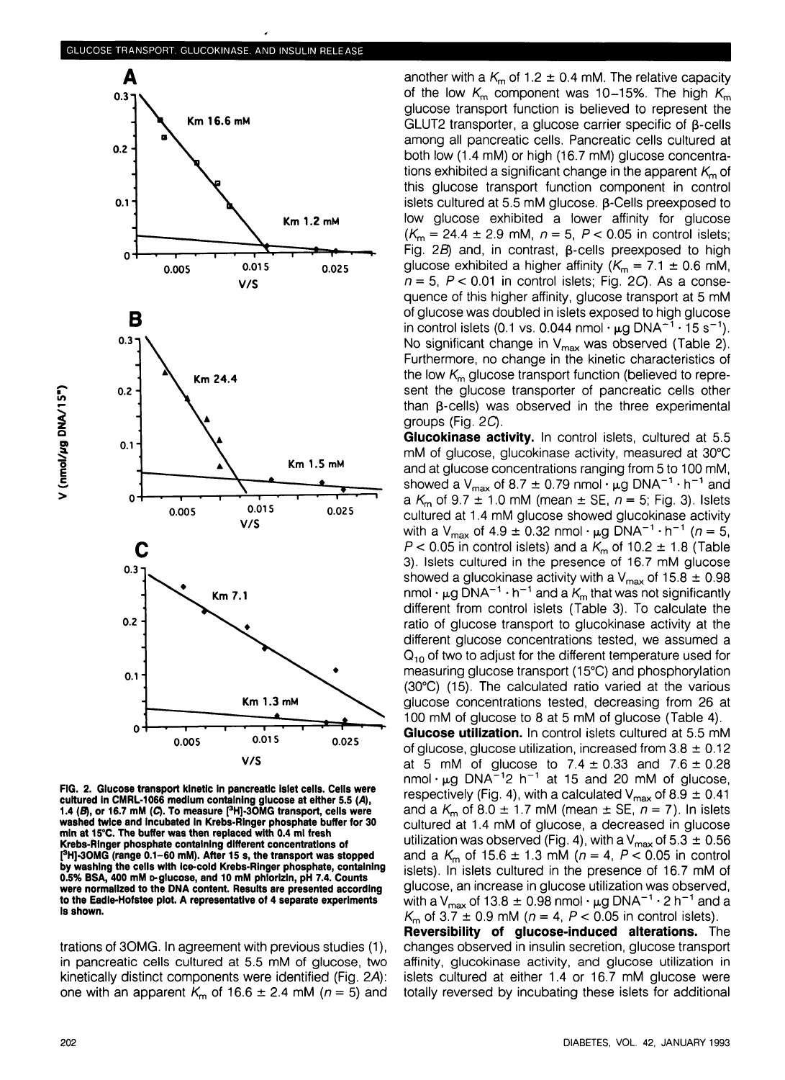

**FIG. 2. Glucose transport kinetic In pancreatic islet cells. Cells were cultured in CMRL-1066 medium containing glucose at either 5.S (A), 1.4 (S), or 16.7 mM (C). To measure [3 H]-3OMG transport, cells were washed twice and incubated in Krebs-Ringer phosphate buffer for 30 mln at 15°C. The buffer was then replaced with 0.4 ml fresh Krebs-Rlnger phosphate containing different concentrations of [ 3 H]-3OMG (range 0.1-60 mM). After 15 s, the transport was stopped by washing the cells with ice-cold Krebs-Rlnger phosphate, containing 0.5% BSA, 400 mM D-glucose, and 10 mM phlorizin, pH 7.4. Counts were normalized to the DNA content. Results are presented according to the Eadie-Hofstee plot. A representative of 4 separate experiments Is shown.**

trations of 3OMG. In agreement with previous studies (1), in pancreatic cells cultured at 5.5 mM of glucose, two kinetically distinct components were identified (Fig. 2A): one with an apparent  $K_m$  of 16.6  $\pm$  2.4 mM ( $n = 5$ ) and

another with a  $K<sub>m</sub>$  of 1.2  $\pm$  0.4 mM. The relative capacity of the low  $K_m$  component was 10-15%. The high  $K_m$ glucose transport function is believed to represent the GLUT2 transporter, a glucose carrier specific of  $\beta$ -cells among all pancreatic cells. Pancreatic cells cultured at both low (1.4 mM) or high (16.7 mM) glucose concentrations exhibited a significant change in the apparent  $K<sub>m</sub>$  of this glucose transport function component in control islets cultured at 5.5 mM glucose.  $\beta$ -Cells preexposed to low glucose exhibited a lower affinity for glucose  $(K_{\rm m} = 24.4 \pm 2.9 \text{ mM}, n = 5, P < 0.05 \text{ in control islets};$ Fig.  $2B$ ) and, in contrast,  $\beta$ -cells preexposed to high glucose exhibited a higher affinity ( $K_m = 7.1 \pm 0.6$  mM,  $n = 5$ ,  $P < 0.01$  in control islets; Fig. 2C). As a consequence of this higher affinity, glucose transport at 5 mM of glucose was doubled in islets exposed to high glucose in control islets (0.1 vs. 0.044 nmol  $\cdot$  µg DNA $^{-1}$   $\cdot$  15 s $^{-1}$ ). No significant change in  $V_{\text{max}}$  was observed (Table 2). Furthermore, no change in the kinetic characteristics of the low  $K<sub>m</sub>$  glucose transport function (believed to represent the glucose transporter of pancreatic cells other than  $\beta$ -cells) was observed in the three experimental groups (Fig. 2C).

**Glucokinase activity.** In control islets, cultured at 5.5 mM of glucose, glucokinase activity, measured at 30°C and at glucose concentrations ranging from 5 to 100 mM, showed a V<sub>max</sub> of 8.7  $\pm$  0.79 nmol  $\cdot \mu$ g DNA<sup>-1</sup>  $\cdot$  h<sup>-1</sup> and a  $K_m$  of 9.7  $\pm$  1.0 mM (mean  $\pm$  SE,  $n = 5$ ; Fig. 3). Islets cultured at 1.4 mM glucose showed glucokinase activity with a V<sub>max</sub> of 4.9  $\pm$  0.32 nmol  $\cdot$  µg DNA<sup>-1</sup>  $\cdot$  h<sup>-1</sup> (n = 5,  $P < 0.05$  in control islets) and a  $K<sub>m</sub>$  of 10.2  $\pm$  1.8 (Table 3). Islets cultured in the presence of 16.7 mM glucose showed a glucokinase activity with a  $V_{\text{max}}$  of 15.8  $\pm$  0.98 nmol  $\cdot$  µg DNA<sup>-1</sup>  $\cdot$  h<sup>-1</sup> and a  $K_m$  that was not significantly different from control islets (Table 3). To calculate the ratio of glucose transport to glucokinase activity at the different glucose concentrations tested, we assumed a  $Q_{10}$  of two to adjust for the different temperature used for measuring glucose transport (15°C) and phosphorylation (30°C) (15). The calculated ratio varied at the various glucose concentrations tested, decreasing from 26 at 100 mM of glucose to 8 at 5 mM of glucose (Table 4).

**Glucose utilization.** In control islets cultured at 5.5 mM of glucose, glucose utilization, increased from  $3.8 \pm 0.12$ at 5 mM of glucose to  $7.4 \pm 0.33$  and  $7.6 \pm 0.28$  $n$ mol ·  $\mu$ g DNA<sup> $-1$ </sup>2 h<sup>-1</sup> at 15 and 20 mM of glucose, respectively (Fig. 4), with a calculated  $V_{\text{max}}$  of 8.9  $\pm$  0.41 and a  $K_m$  of 8.0  $\pm$  1.7 mM (mean  $\pm$  SE,  $n = 7$ ). In islets cultured at 1.4 mM of glucose, a decreased in glucose utilization was observed (Fig. 4), with a  $V_{max}$  of 5.3  $\pm$  0.56 and a  $K_m$  of 15.6  $\pm$  1.3 mM ( $n = 4$ ,  $P < 0.05$  in control islets). In islets cultured in the presence of 16.7 mM of glucose, an increase in glucose utilization was observed, with a V<sub>max</sub> of 13.8  $\pm$  0.98 nmol  $\cdot$  µg DNA<sup>-1</sup>  $\cdot$  2 h<sup>-1</sup> and a  $K<sub>m</sub>$  of 3.7  $\pm$  0.9 mM ( $n = 4$ ,  $P < 0.05$  in control islets).

**Reversibility of glucose-induced alterations.** The changes observed in insulin secretion, glucose transport affinity, glucokinase activity, and glucose utilization in islets cultured at either 1.4 or 16.7 mM glucose were totally reversed by incubating these islets for additional

al/a **"5 c**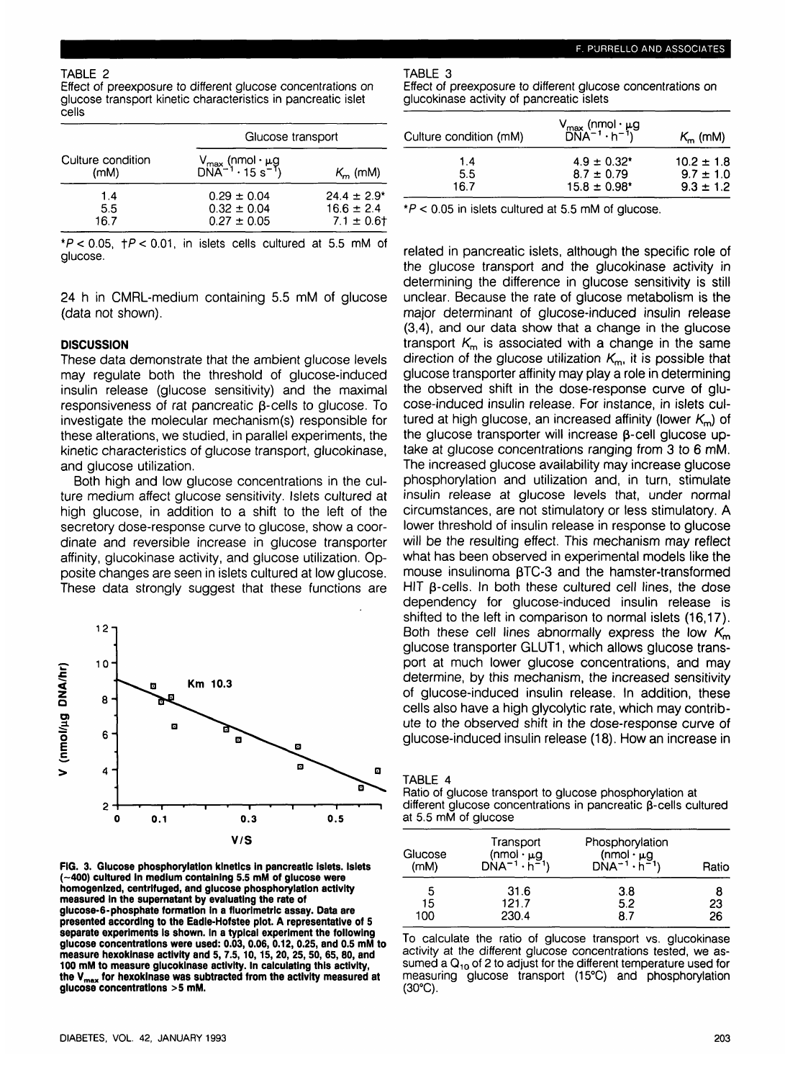Effect of preexposure to different glucose concentrations on glucose transport kinetic characteristics in pancreatic islet cells

| Culture condition<br>(mM) | Glucose transport                                                                     |                                                      |  |
|---------------------------|---------------------------------------------------------------------------------------|------------------------------------------------------|--|
|                           | $V_{\text{max}}$ (nmol $\cdot \mu$ g<br>DNA <sup>-1</sup> $\cdot 15 \text{ s}^{-1}$ ) | $K_m$ (mM)                                           |  |
| 1.4<br>5.5<br>16.7        | $0.29 \pm 0.04$<br>$0.32 \pm 0.04$<br>$0.27 \pm 0.05$                                 | $24.4 \pm 2.9^*$<br>$16.6 \pm 2.4$<br>$7.1 \pm 0.61$ |  |

 $*P < 0.05$ ,  $\uparrow P < 0.01$ , in islets cells cultured at 5.5 mM of glucose.

24 h in CMRL-medium containing 5.5 mM of glucose (data not shown).

## **DISCUSSION**

These data demonstrate that the ambient glucose levels may regulate both the threshold of glucose-induced insulin release (glucose sensitivity) and the maximal responsiveness of rat pancreatic  $\beta$ -cells to glucose. To investigate the molecular mechanism(s) responsible for these alterations, we studied, in parallel experiments, the kinetic characteristics of glucose transport, glucokinase, and glucose utilization.

Both high and low glucose concentrations in the culture medium affect glucose sensitivity. Islets cultured at high glucose, in addition to a shift to the left of the secretory dose-response curve to glucose, show a coordinate and reversible increase in glucose transporter affinity, glucokinase activity, and glucose utilization. Opposite changes are seen in islets cultured at low glucose. These data strongly suggest that these functions are



**FIG. 3. Glucose phosphorylation kinetics in pancreatic Islets. Islets (-400) cultured In medium containing 5.5 mM of glucose were homogenized, centrlfuged, and glucose phosphorylation activity measured In the supernatant by evaluating the rate of glucose-6-phosphate formation in a fluorlmetric assay. Data are presented according to the Eadle-Hofstee plot. A representative of 5 separate experiments Is shown. In a typical experiment the following glucose concentrations were used: 0.03, 0.06, 0.12, 0.25, and 0.5 mM to measure hexokinase activity and 5,7.5,10,15, 20, 25,50, 65,80, and 100 mM to measure glucokinase activity. In calculating this activity, the Vmax for hexokinase was subtracted from the activity measured at glucose concentrations >5 mM.**

TABLE 3

Effect of preexposure to different glucose concentrations on glucokinase activity of pancreatic islets

| Culture condition (mM) | V <sub>max</sub> (nmol · μg<br>DNA <sup>-1</sup> · h <sup>-1</sup> ) | $K_{\rm m}$ (mM) |  |
|------------------------|----------------------------------------------------------------------|------------------|--|
| 1.4                    | $4.9 \pm 0.32$ *                                                     | $10.2 \pm 1.8$   |  |
| 5.5                    | $8.7 \pm 0.79$                                                       | $9.7 \pm 1.0$    |  |
| 16.7                   | $15.8 \pm 0.98$ <sup>*</sup>                                         | $9.3 \pm 1.2$    |  |

 $*P < 0.05$  in islets cultured at 5.5 mM of glucose.

related in pancreatic islets, although the specific role of the glucose transport and the glucokinase activity in determining the difference in glucose sensitivity is still unclear. Because the rate of glucose metabolism is the major determinant of glucose-induced insulin release (3,4), and our data show that a change in the glucose transport  $K<sub>m</sub>$  is associated with a change in the same direction of the glucose utilization  $K<sub>m</sub>$ , it is possible that glucose transporter affinity may play a role in determining the observed shift in the dose-response curve of glucose-induced insulin release. For instance, in islets cultured at high glucose, an increased affinity (lower  $K<sub>m</sub>$ ) of the glucose transporter will increase  $\beta$ -cell glucose uptake at glucose concentrations ranging from 3 to 6 mM. The increased glucose availability may increase glucose phosphorylation and utilization and, in turn, stimulate insulin release at glucose levels that, under normal circumstances, are not stimulatory or less stimulatory. A lower threshold of insulin release in response to glucose will be the resulting effect. This mechanism may reflect what has been observed in experimental models like the mouse insulinoma  $\beta$ TC-3 and the hamster-transformed HIT  $\beta$ -cells. In both these cultured cell lines, the dose dependency for glucose-induced insulin release is shifted to the left in comparison to normal islets (16,17). Both these cell lines abnormally express the low  $K<sub>m</sub>$ glucose transporter GLUT1, which allows glucose transport at much lower glucose concentrations, and may determine, by this mechanism, the increased sensitivity of glucose-induced insulin release. In addition, these cells also have a high glycolytic rate, which may contribute to the observed shift in the dose-response curve of glucose-induced insulin release (18). How an increase in

TABLE 4

Ratio of glucose transport to glucose phosphorylation at different glucose concentrations in pancreatic  $\beta$ -cells cultured at 5.5 mM of glucose

| Glucose | Transport                                                    | Phosphorylation                                               | Ratio |
|---------|--------------------------------------------------------------|---------------------------------------------------------------|-------|
| (mM)    | $(nmol \cdot \mu g)$<br>DNA <sup>-1</sup> ·h <sup>-1</sup> ) | $(nmol \cdot \mu g)$<br>DNA <sup>-1</sup> · h <sup>-1</sup> ) |       |
| 5       | 31.6                                                         | 3.8                                                           | 8     |
| 15      | 121.7                                                        | 5.2                                                           | 23    |
| 100     | 230.4                                                        | 8.7                                                           | 26    |

To calculate the ratio of glucose transport vs. glucokinase activity at the different glucose concentrations tested, we assumed a  $Q_{10}$  of 2 to adjust for the different temperature used for measuring glucose transport (15°C) and phosphorylation  $(30^{\circ}C)$ .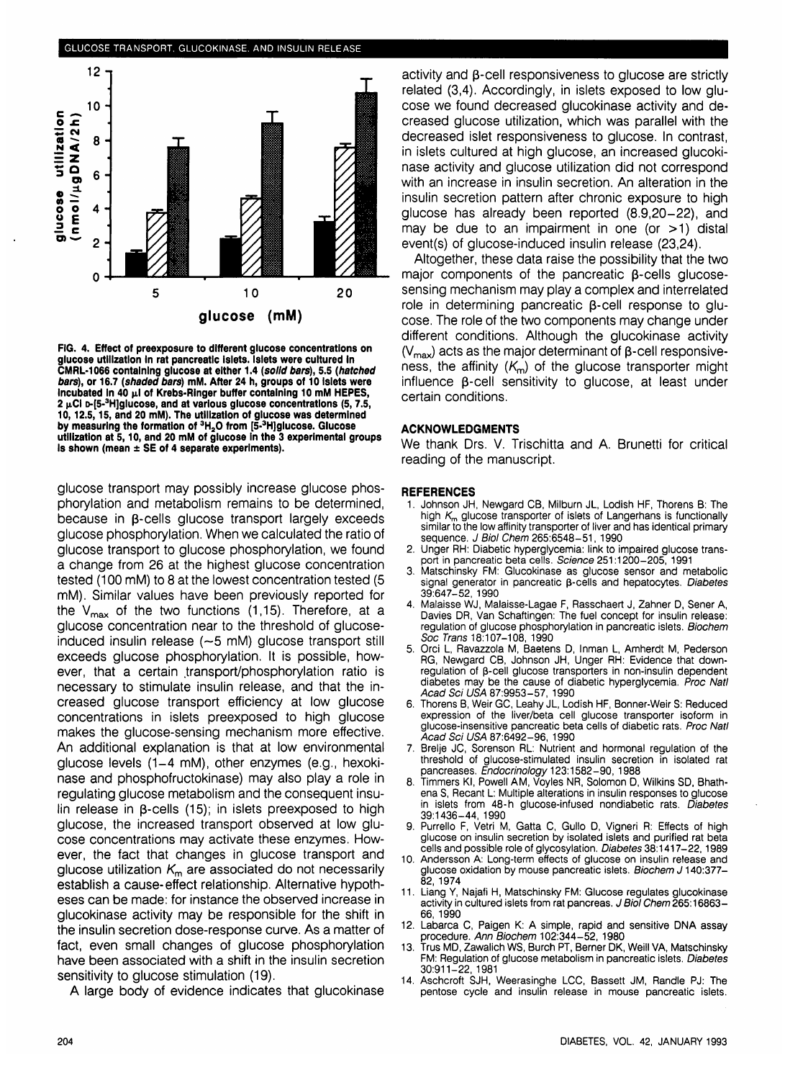

**FIG. 4. Effect of preexposure to different glucose concentrations on glucose utilization in rat pancreatic Islets. Islets were cultured In CMRL-1066 containing glucose at either 1.4 (solid bars), 5.5 (hatched bars), or 16.7 (shaded bars) mM. After 24 h, groups of 10 Islets were** Incubated in 40  $\mu$ I of Krebs-Ringer buffer containing 10 mM HEPES, **2 jiCI D-[5-3 H]glucose, and at various glucose concentrations (5,7.5, 10,12.5,15, and 20 mM). The utilization of glucose was determined by measuring the formation of 3H2 0 from [5-<sup>3</sup> H]glucose. Glucose utilization at 5,10, and 20 mM of glucose in the 3 experimental groups Is shown (mean ± SE of 4 separate experiments).**

glucose transport may possibly increase glucose phosphorylation and metabolism remains to be determined, because in p-cells glucose transport largely exceeds glucose phosphorylation. When we calculated the ratio of glucose transport to glucose phosphorylation, we found a change from 26 at the highest glucose concentration tested (100 mM) to 8 at the lowest concentration tested (5 mM). Similar values have been previously reported for the  $V_{\text{max}}$  of the two functions (1,15). Therefore, at a glucose concentration near to the threshold of glucoseinduced insulin release (~5 mM) glucose transport still exceeds glucose phosphorylation. It is possible, however, that a certain transport/phosphorylation ratio is necessary to stimulate insulin release, and that the increased glucose transport efficiency at low glucose concentrations in islets preexposed to high glucose makes the glucose-sensing mechanism more effective. An additional explanation is that at low environmental glucose levels (1-4 mM), other enzymes (e.g., hexokinase and phosphofructokinase) may also play a role in regulating glucose metabolism and the consequent insulin release in  $\beta$ -cells (15); in islets preexposed to high glucose, the increased transport observed at low glucose concentrations may activate these enzymes. However, the fact that changes in glucose transport and glucose utilization  $K<sub>m</sub>$  are associated do not necessarily establish a cause-effect relationship. Alternative hypotheses can be made: for instance the observed increase in glucokinase activity may be responsible for the shift in the insulin secretion dose-response curve. As a matter of fact, even small changes of glucose phosphorylation have been associated with a shift in the insulin secretion have been associated with a shift in the insulin secretion<br>sensitivity to glucose stimulation (19).

A large body of evidence indicates that glucokinase

activity and  $\beta$ -cell responsiveness to glucose are strictly related (3,4). Accordingly, in islets exposed to low glucose we found decreased glucokinase activity and decreased glucose utilization, which was parallel with the decreased islet responsiveness to glucose. In contrast, in islets cultured at high glucose, an increased glucokinase activity and glucose utilization did not correspond with an increase in insulin secretion. An alteration in the insulin secretion pattern after chronic exposure to high glucose has already been reported (8.9,20-22), and may be due to an impairment in one (or  $>1$ ) distal event(s) of glucose-induced insulin release (23,24).

Altogether, these data raise the possibility that the two major components of the pancreatic  $\beta$ -cells glucosesensing mechanism may play a complex and interrelated role in determining pancreatic  $\beta$ -cell response to glucose. The role of the two components may change under different conditions. Although the glucokinase activity  $(V_{\text{max}})$  acts as the major determinant of  $\beta$ -cell responsiveness, the affinity  $(K_m)$  of the glucose transporter might influence  $\beta$ -cell sensitivity to glucose, at least under certain conditions.

#### **ACKNOWLEDGMENTS**

We thank Drs. V. Trischitta and A. Brunetti for critical reading of the manuscript.

#### **REFERENCES**

- 1. Johnson JH, Newgard CB, Milburn JL, Lodish HF, Thorens B: The high  $K<sub>m</sub>$  glucose transporter of islets of Langerhans is functionally similar to the low affinity transporter of liver and has identical primary sequence. J Biol Chem 265:6548-51, 1990
- 2. Unger RH: Diabetic hyperglycemia: link to impaired glucose transport in pancreatic beta cells. Science 251:1200-205, 1991
- 3. Matschinsky FM: Glucokinase as glucose sensor and metabolic signal generator in pancreatic  $\beta$ -cells and hepatocytes. Diabetes 39:647-52, 1990
- 4. Malaisse WJ, Malaisse-Lagae F, Rasschaert J, Zahner D, Sener A, Davies DR, Van Schaftingen: The fuel concept for insulin release: regulation of glucose phosphorylation in pancreatic islets. Biochem Soc Trans 18:107-108, 1990
- 5. Orci L, Ravazzola M, Baetens D, Inman L, Amherdt M, Pederson RG, Newgard CB, Johnson JH, Unger RH: Evidence that downregulation of β-cell glucose transporters in non-insulin dependent diabetes may be the cause of diabetic hyperglycemia. Proc Natl Acad Sci USA 87:9953-57, 1990
- 6. Thorens B, Weir GC, Leahy JL, Lodish HF, Bonner-Weir S: Reduced expression of the liver/beta cell glucose transporter isoform in glucose-insensitive pancreatic beta cells of diabetic rats. Proc Natl Acad Sci USA 87:6492-96, 1990
- 7. Brelje JC, Sorenson RL: Nutrient and hormonal regulation of the threshold of glucose-stimulated insulin secretion in isolated rat pancreases. *Éndocrinology* 123:1582-90, 1988
- 8. Timmers KI, Powell AM, Voyles NR, Solomon D, Wilkins SD, Bhathena S, Recant L: Multiple alterations in insulin responses to glucose in islets from 48-h glucose-infused nondiabetic rats. Diabetes 39:1436-44, 1990
- 9. Purrello F, Vetri M, Gatta C, Gullo D, Vigneri R: Effects of high glucose on insulin secretion by isolated islets and purified rat beta cells and possible role of glycosylation. *Diabetes* 38:1417-22, 1989
- 10. Andersson A: Long-term effects of glucose on insulin release and glucose oxidation by mouse pancreatic islets. Biochem J 140:377-82, 1974
- 11. Liang Y, Najafi H, Matschinsky FM: Glucose regulates glucokinase activity in cultured islets from rat pancreas. J Biol Chem 265:16863-66, 1990
- 12. Labarca C, Paigen K: A simple, rapid and sensitive DNA assay procedure. Ann Biochem 102:344-52, 1980
- 13. Trus MD, Zawalich WS, Burch PT, Berner DK, Weill VA, Matschinsky FM: Regulation of glucose metabolism in pancreatic islets. Diabetes 30:911-22, 1981
- 14. Aschcroft SJH, Weerasinghe LCC, Bassett JM, Randle PJ: The pentose cycle and insulin release in mouse pancreatic islets.